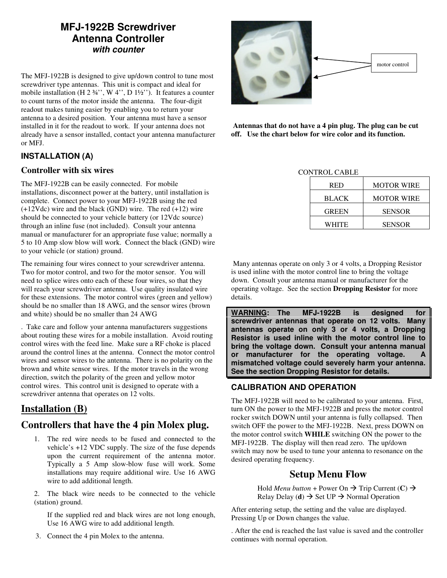# **MFJ-1922B Screwdriver Antenna Controller with counter**

The MFJ-1922B is designed to give up/down control to tune most screwdriver type antennas. This unit is compact and ideal for mobile installation (H  $2\frac{3}{4}$ ", W  $4$ ", D  $1\frac{1}{2}$ "). It features a counter to count turns of the motor inside the antenna. The four-digit readout makes tuning easier by enabling you to return your antenna to a desired position. Your antenna must have a sensor installed in it for the readout to work. If your antenna does not already have a sensor installed, contact your antenna manufacturer or MFJ.

## **INSTALLATION (A)**

#### **Controller with six wires**

The MFJ-1922B can be easily connected. For mobile installations, disconnect power at the battery, until installation is complete. Connect power to your MFJ-1922B using the red (+12Vdc) wire and the black (GND) wire. The red (+12) wire should be connected to your vehicle battery (or 12Vdc source) through an inline fuse (not included). Consult your antenna manual or manufacturer for an appropriate fuse value; normally a 5 to 10 Amp slow blow will work. Connect the black (GND) wire to your vehicle (or station) ground.

The remaining four wires connect to your screwdriver antenna. Two for motor control, and two for the motor sensor. You will need to splice wires onto each of these four wires, so that they will reach your screwdriver antenna. Use quality insulated wire for these extensions. The motor control wires (green and yellow) should be no smaller than 18 AWG, and the sensor wires (brown and white) should be no smaller than 24 AWG

. Take care and follow your antenna manufacturers suggestions about routing these wires for a mobile installation. Avoid routing control wires with the feed line. Make sure a RF choke is placed around the control lines at the antenna. Connect the motor control wires and sensor wires to the antenna. There is no polarity on the brown and white sensor wires. If the motor travels in the wrong direction, switch the polarity of the green and yellow motor control wires. This control unit is designed to operate with a screwdriver antenna that operates on 12 volts.

# **Installation (B)**

# **Controllers that have the 4 pin Molex plug.**

1. The red wire needs to be fused and connected to the vehicle's +12 VDC supply. The size of the fuse depends upon the current requirement of the antenna motor. Typically a 5 Amp slow-blow fuse will work. Some installations may require additional wire. Use 16 AWG wire to add additional length.

2. The black wire needs to be connected to the vehicle (station) ground.

If the supplied red and black wires are not long enough, Use 16 AWG wire to add additional length.

3. Connect the 4 pin Molex to the antenna.



 **Antennas that do not have a 4 pin plug. The plug can be cut off. Use the chart below for wire color and its function.** 

CONTROL CABLE

| <b>RED</b> | <b>MOTOR WIRE</b> |
|------------|-------------------|
| BLACK      | MOTOR WIRE        |
| GREEN      | <b>SENSOR</b>     |
| WHITE      | <b>SENSOR</b>     |

 Many antennas operate on only 3 or 4 volts, a Dropping Resistor is used inline with the motor control line to bring the voltage down. Consult your antenna manual or manufacturer for the operating voltage. See the section **Dropping Resistor** for more details.

**WARNING: The MFJ-1922B is designed for screwdriver antennas that operate on 12 volts. Many antennas operate on only 3 or 4 volts, a Dropping Resistor is used inline with the motor control line to bring the voltage down. Consult your antenna manual or manufacturer for the operating voltage. A mismatched voltage could severely harm your antenna. See the section Dropping Resistor for details.** 

## **CALIBRATION AND OPERATION**

The MFJ-1922B will need to be calibrated to your antenna. First, turn ON the power to the MFJ-1922B and press the motor control rocker switch DOWN until your antenna is fully collapsed. Then switch OFF the power to the MFJ-1922B. Next, press DOWN on the motor control switch **WHILE** switching ON the power to the MFJ-1922B. The display will then read zero. The up/down switch may now be used to tune your antenna to resonance on the desired operating frequency.

## **Setup Menu Flow**

Hold *Menu button* + Power On  $\rightarrow$  Trip Current (**C**)  $\rightarrow$ Relay Delay (**d**)  $\rightarrow$  Set UP  $\rightarrow$  Normal Operation

After entering setup, the setting and the value are displayed. Pressing Up or Down changes the value.

. After the end is reached the last value is saved and the controller continues with normal operation.